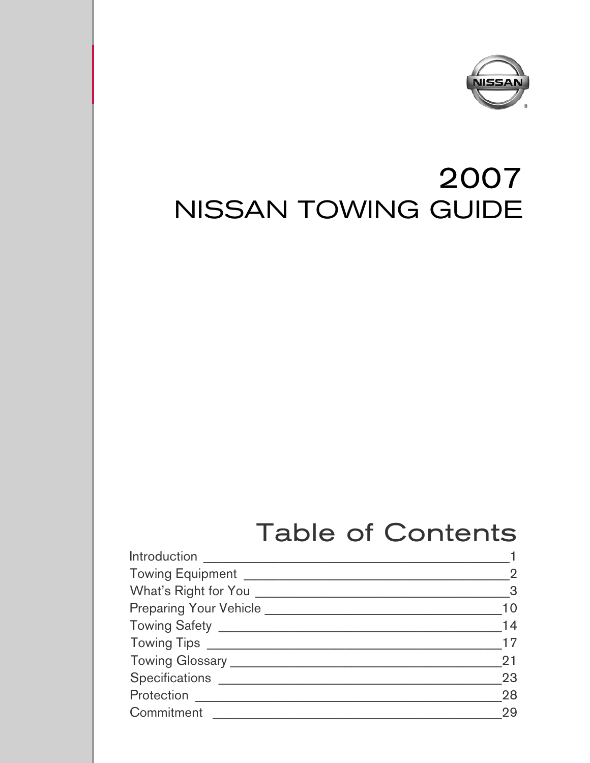

# 2007 **NISSAN TOWING GUIDE**

# **Table of Contents**

| Introduction _________________________                                                              |                         |
|-----------------------------------------------------------------------------------------------------|-------------------------|
| Towing Equipment ________                                                                           | $\overline{2}$          |
| What's Right for You                                                                                | $\overline{\mathbf{3}}$ |
| Preparing Your Vehicle <b>Container the Contract of American</b> Contract of Preparing Section 2014 | 10                      |
|                                                                                                     | 14                      |
|                                                                                                     | 17                      |
|                                                                                                     | 21                      |
| Specifications _______                                                                              | 23                      |
| Protection                                                                                          | 28                      |
| Commitment                                                                                          | 29                      |
|                                                                                                     |                         |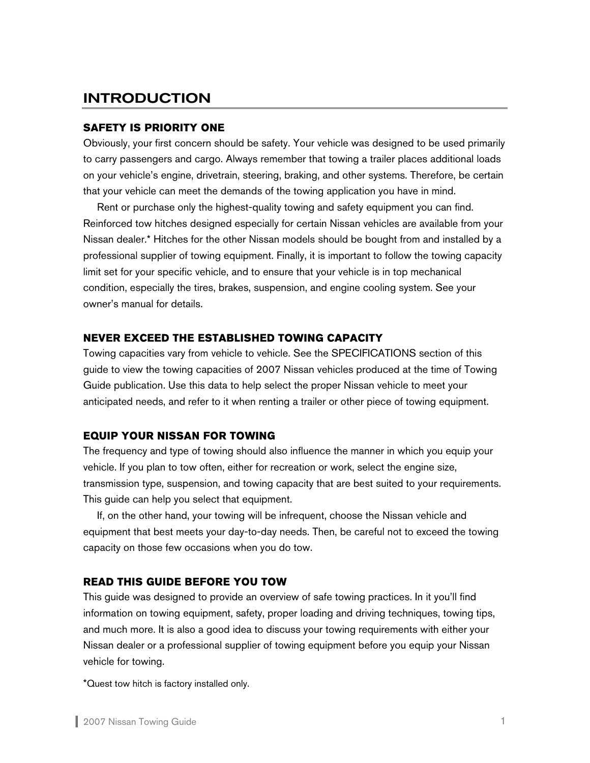# <span id="page-1-0"></span>INTRODUCTION

# **SAFETY IS PRIORITY ONE**

Obviously, your first concern should be safety. Your vehicle was designed to be used primarily to carry passengers and cargo. Always remember that towing a trailer places additional loads on your vehicle's engine, drivetrain, steering, braking, and other systems. Therefore, be certain that your vehicle can meet the demands of the towing application you have in mind.

 Rent or purchase only the highest-quality towing and safety equipment you can find. Reinforced tow hitches designed especially for certain Nissan vehicles are available from your Nissan dealer.\* Hitches for the other Nissan models should be bought from and installed by a professional supplier of towing equipment. Finally, it is important to follow the towing capacity limit set for your specific vehicle, and to ensure that your vehicle is in top mechanical condition, especially the tires, brakes, suspension, and engine cooling system. See your owner's manual for details.

# **NEVER EXCEED THE ESTABLISHED TOWING CAPACITY**

Towing capacities vary from vehicle to vehicle. See the SPECIFICATIONS section of this guide to view the towing capacities of 2007 Nissan vehicles produced at the time of Towing Guide publication. Use this data to help select the proper Nissan vehicle to meet your anticipated needs, and refer to it when renting a trailer or other piece of towing equipment.

# **EQUIP YOUR NISSAN FOR TOWING**

The frequency and type of towing should also influence the manner in which you equip your vehicle. If you plan to tow often, either for recreation or work, select the engine size, transmission type, suspension, and towing capacity that are best suited to your requirements. This guide can help you select that equipment.

 If, on the other hand, your towing will be infrequent, choose the Nissan vehicle and equipment that best meets your day-to-day needs. Then, be careful not to exceed the towing capacity on those few occasions when you do tow.

#### **READ THIS GUIDE BEFORE YOU TOW**

This guide was designed to provide an overview of safe towing practices. In it you'll find information on towing equipment, safety, proper loading and driving techniques, towing tips, and much more. It is also a good idea to discuss your towing requirements with either your Nissan dealer or a professional supplier of towing equipment before you equip your Nissan vehicle for towing.

\*Quest tow hitch is factory installed only.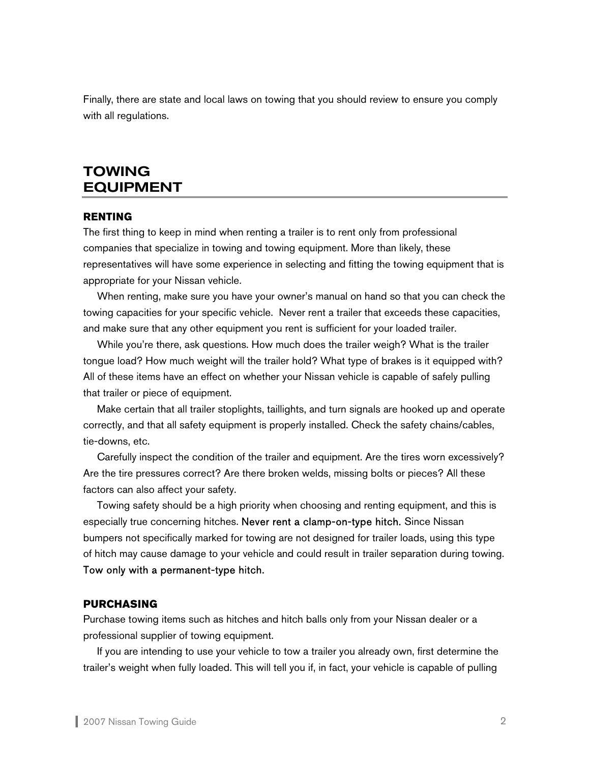<span id="page-2-0"></span>Finally, there are state and local laws on towing that you should review to ensure you comply with all regulations.

# TOWING EQUIPMENT

#### **RENTING**

The first thing to keep in mind when renting a trailer is to rent only from professional companies that specialize in towing and towing equipment. More than likely, these representatives will have some experience in selecting and fitting the towing equipment that is appropriate for your Nissan vehicle.

 When renting, make sure you have your owner's manual on hand so that you can check the towing capacities for your specific vehicle. Never rent a trailer that exceeds these capacities, and make sure that any other equipment you rent is sufficient for your loaded trailer.

 While you're there, ask questions. How much does the trailer weigh? What is the trailer tongue load? How much weight will the trailer hold? What type of brakes is it equipped with? All of these items have an effect on whether your Nissan vehicle is capable of safely pulling that trailer or piece of equipment.

 Make certain that all trailer stoplights, taillights, and turn signals are hooked up and operate correctly, and that all safety equipment is properly installed. Check the safety chains/cables, tie-downs, etc.

 Carefully inspect the condition of the trailer and equipment. Are the tires worn excessively? Are the tire pressures correct? Are there broken welds, missing bolts or pieces? All these factors can also affect your safety.

 Towing safety should be a high priority when choosing and renting equipment, and this is especially true concerning hitches. Never rent a clamp-on-type hitch. Since Nissan bumpers not specifically marked for towing are not designed for trailer loads, using this type of hitch may cause damage to your vehicle and could result in trailer separation during towing. Tow only with a permanent-type hitch.

#### **PURCHASING**

Purchase towing items such as hitches and hitch balls only from your Nissan dealer or a professional supplier of towing equipment.

If you are intending to use your vehicle to tow a trailer you already own, first determine the trailer's weight when fully loaded. This will tell you if, in fact, your vehicle is capable of pulling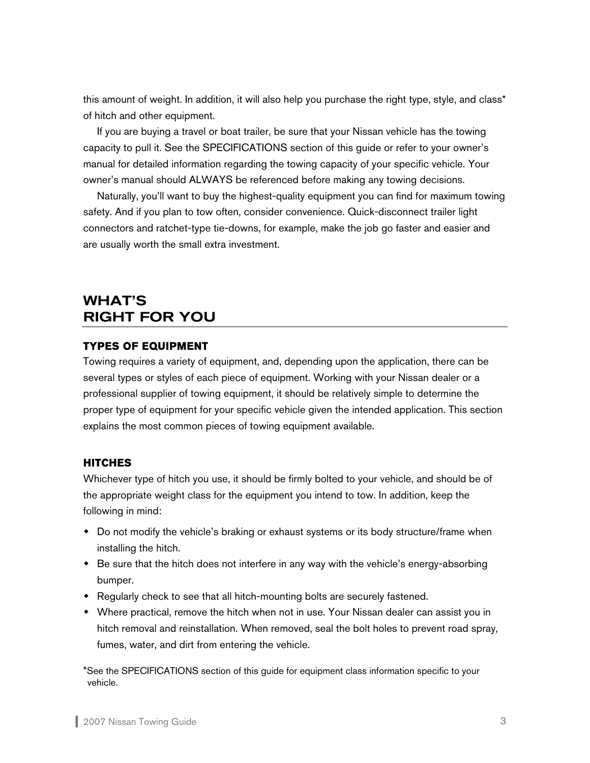<span id="page-3-0"></span>this amount of weight. In addition, it will also help you purchase the right type, style, and class\* of hitch and other equipment.

If you are buying a travel or boat trailer, be sure that your Nissan vehicle has the towing capacity to pull it. See the SPECIFICATIONS section of this guide or refer to your owner's manual for detailed information regarding the towing capacity of your specific vehicle. Your owner's manual should ALWAYS be referenced before making any towing decisions.

 Naturally, you'll want to buy the highest-quality equipment you can find for maximum towing safety. And if you plan to tow often, consider convenience. Quick-disconnect trailer light connectors and ratchet-type tie-downs, for example, make the job go faster and easier and are usually worth the small extra investment.

# WHAT'S RIGHT FOR YOU

# **TYPES OF EQUIPMENT**

Towing requires a variety of equipment, and, depending upon the application, there can be several types or styles of each piece of equipment. Working with your Nissan dealer or a professional supplier of towing equipment, it should be relatively simple to determine the proper type of equipment for your specific vehicle given the intended application. This section explains the most common pieces of towing equipment available.

# **HITCHES**

Whichever type of hitch you use, it should be firmly bolted to your vehicle, and should be of the appropriate weight class for the equipment you intend to tow. In addition, keep the following in mind:

- Do not modify the vehicle's braking or exhaust systems or its body structure/frame when installing the hitch.
- Be sure that the hitch does not interfere in any way with the vehicle's energy-absorbing bumper.
- Regularly check to see that all hitch-mounting bolts are securely fastened.
- Where practical, remove the hitch when not in use. Your Nissan dealer can assist you in hitch removal and reinstallation. When removed, seal the bolt holes to prevent road spray, fumes, water, and dirt from entering the vehicle.

\*See the SPECIFICATIONS section of this guide for equipment class information specific to your vehicle.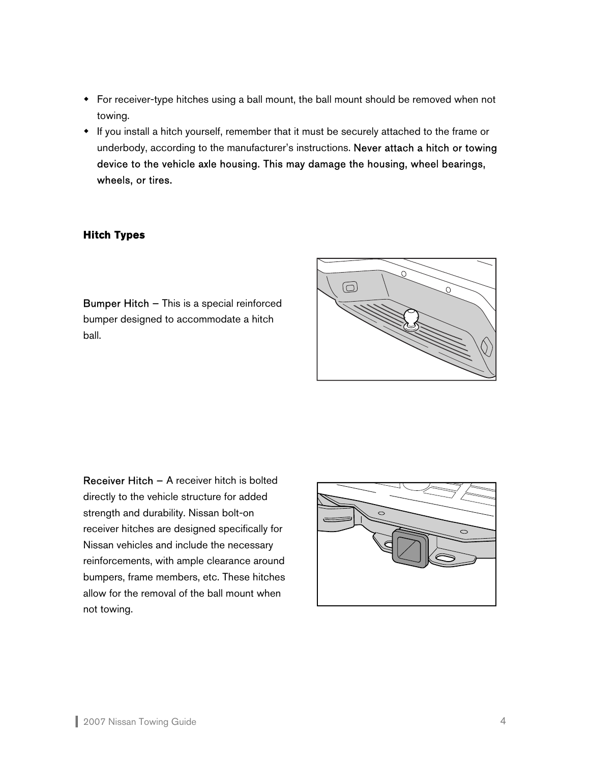- For receiver-type hitches using a ball mount, the ball mount should be removed when not towing.
- If you install a hitch yourself, remember that it must be securely attached to the frame or underbody, according to the manufacturer's instructions. Never attach a hitch or towing device to the vehicle axle housing. This may damage the housing, wheel bearings, wheels, or tires.

# **Hitch Types**

Bumper Hitch – This is a special reinforced bumper designed to accommodate a hitch ball.



Receiver Hitch – A receiver hitch is bolted directly to the vehicle structure for added strength and durability. Nissan bolt-on receiver hitches are designed specifically for Nissan vehicles and include the necessary reinforcements, with ample clearance around bumpers, frame members, etc. These hitches allow for the removal of the ball mount when not towing.

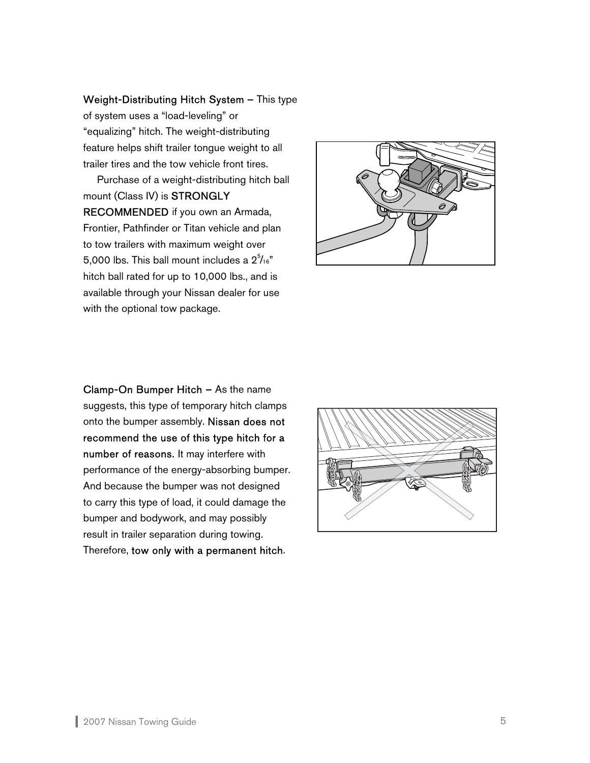Weight-Distributing Hitch System – This type

of system uses a "load-leveling" or "equalizing" hitch. The weight-distributing feature helps shift trailer tongue weight to all trailer tires and the tow vehicle front tires.

Purchase of a weight-distributing hitch ball mount (Class IV) is STRONGLY RECOMMENDED if you own an Armada, Frontier, Pathfinder or Titan vehicle and plan to tow trailers with maximum weight over 5,000 lbs. This ball mount includes a  $2^5\prime_{16}$ " hitch ball rated for up to 10,000 lbs., and is available through your Nissan dealer for use with the optional tow package.



Clamp-On Bumper Hitch – As the name suggests, this type of temporary hitch clamps onto the bumper assembly. Nissan does not recommend the use of this type hitch for a number of reasons. It may interfere with performance of the energy-absorbing bumper. And because the bumper was not designed to carry this type of load, it could damage the bumper and bodywork, and may possibly result in trailer separation during towing. Therefore, tow only with a permanent hitch.

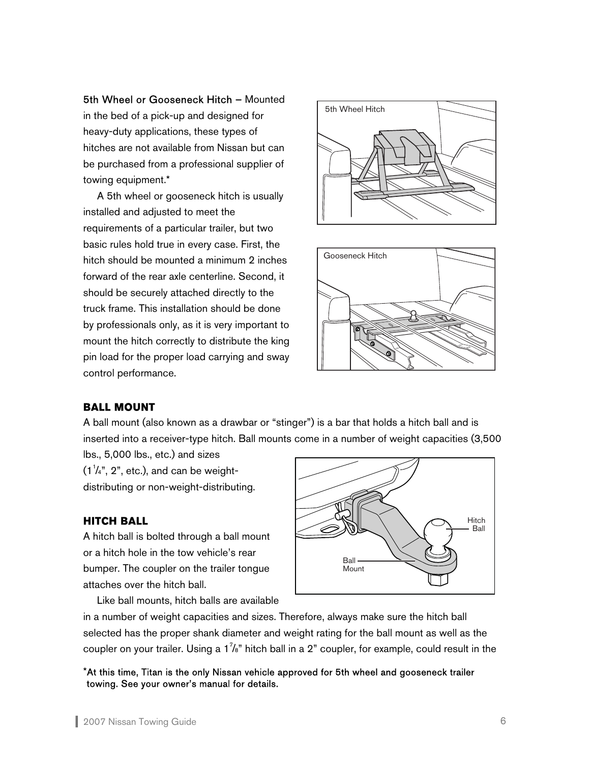5th Wheel or Gooseneck Hitch – Mounted in the bed of a pick-up and designed for heavy-duty applications, these types of hitches are not available from Nissan but can be purchased from a professional supplier of towing equipment.\*

A 5th wheel or gooseneck hitch is usually installed and adjusted to meet the requirements of a particular trailer, but two basic rules hold true in every case. First, the hitch should be mounted a minimum 2 inches forward of the rear axle centerline. Second, it should be securely attached directly to the truck frame. This installation should be done by professionals only, as it is very important to mount the hitch correctly to distribute the king pin load for the proper load carrying and sway control performance.





# **BALL MOUNT**

A ball mount (also known as a drawbar or "stinger") is a bar that holds a hitch ball and is inserted into a receiver-type hitch. Ball mounts come in a number of weight capacities (3,500

lbs., 5,000 lbs., etc.) and sizes  $(1<sup>1</sup>/<sub>4</sub>", 2", etc.),$  and can be weightdistributing or non-weight-distributing.

# **HITCH BALL**

A hitch ball is bolted through a ball mount or a hitch hole in the tow vehicle's rear bumper. The coupler on the trailer tongue attaches over the hitch ball.

Like ball mounts, hitch balls are available



in a number of weight capacities and sizes. Therefore, always make sure the hitch ball selected has the proper shank diameter and weight rating for the ball mount as well as the coupler on your trailer. Using a 1<sup>7</sup>/s" hitch ball in a 2" coupler, for example, could result in the

\*At this time, Titan is the only Nissan vehicle approved for 5th wheel and gooseneck trailer towing. See your owner's manual for details.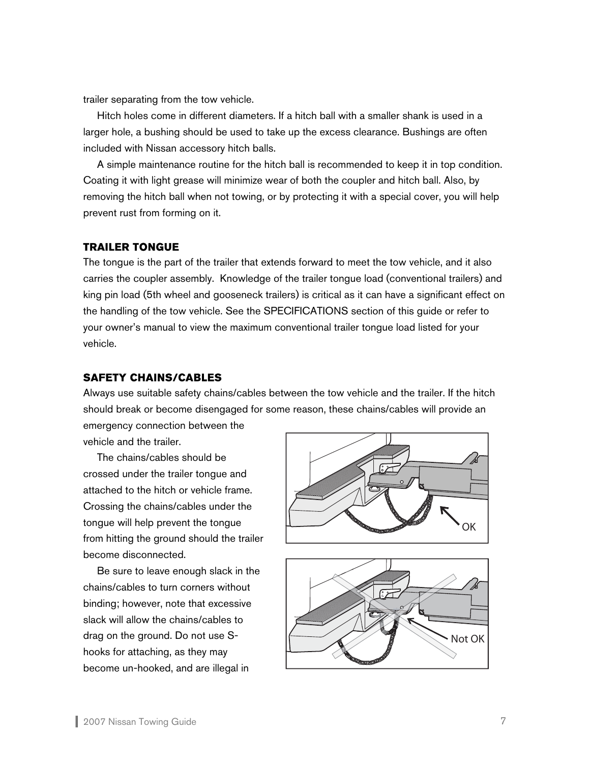trailer separating from the tow vehicle.

 Hitch holes come in different diameters. If a hitch ball with a smaller shank is used in a larger hole, a bushing should be used to take up the excess clearance. Bushings are often included with Nissan accessory hitch balls.

 A simple maintenance routine for the hitch ball is recommended to keep it in top condition. Coating it with light grease will minimize wear of both the coupler and hitch ball. Also, by removing the hitch ball when not towing, or by protecting it with a special cover, you will help prevent rust from forming on it.

#### **TRAILER TONGUE**

The tongue is the part of the trailer that extends forward to meet the tow vehicle, and it also carries the coupler assembly. Knowledge of the trailer tongue load (conventional trailers) and king pin load (5th wheel and gooseneck trailers) is critical as it can have a significant effect on the handling of the tow vehicle. See the SPECIFICATIONS section of this guide or refer to your owner's manual to view the maximum conventional trailer tongue load listed for your vehicle.

# **SAFETY CHAINS/CABLES**

Always use suitable safety chains/cables between the tow vehicle and the trailer. If the hitch should break or become disengaged for some reason, these chains/cables will provide an emergency connection between the

vehicle and the trailer.

 The chains/cables should be crossed under the trailer tongue and attached to the hitch or vehicle frame. Crossing the chains/cables under the tongue will help prevent the tongue from hitting the ground should the trailer become disconnected.

Be sure to leave enough slack in the chains/cables to turn corners without binding; however, note that excessive slack will allow the chains/cables to drag on the ground. Do not use Shooks for attaching, as they may become un-hooked, and are illegal in



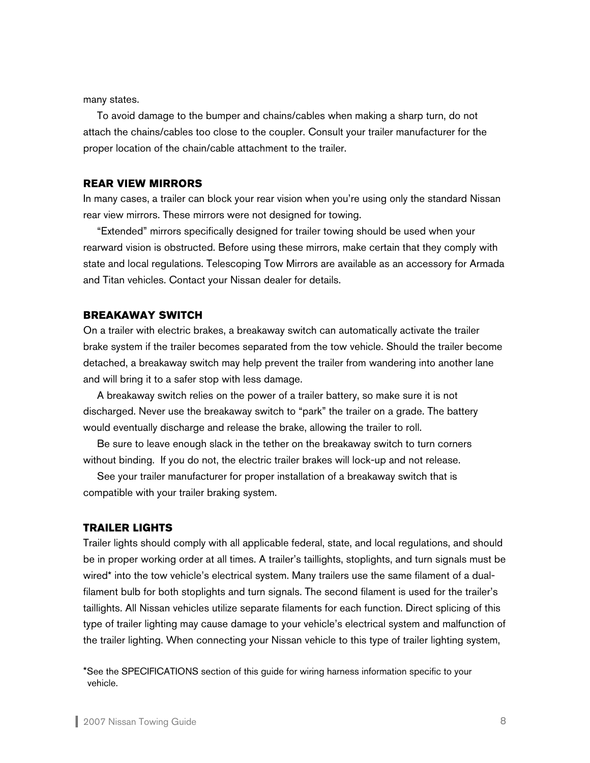many states.

To avoid damage to the bumper and chains/cables when making a sharp turn, do not attach the chains/cables too close to the coupler. Consult your trailer manufacturer for the proper location of the chain/cable attachment to the trailer.

#### **REAR VIEW MIRRORS**

In many cases, a trailer can block your rear vision when you're using only the standard Nissan rear view mirrors. These mirrors were not designed for towing.

 "Extended" mirrors specifically designed for trailer towing should be used when your rearward vision is obstructed. Before using these mirrors, make certain that they comply with state and local regulations. Telescoping Tow Mirrors are available as an accessory for Armada and Titan vehicles. Contact your Nissan dealer for details.

#### **BREAKAWAY SWITCH**

On a trailer with electric brakes, a breakaway switch can automatically activate the trailer brake system if the trailer becomes separated from the tow vehicle. Should the trailer become detached, a breakaway switch may help prevent the trailer from wandering into another lane and will bring it to a safer stop with less damage.

 A breakaway switch relies on the power of a trailer battery, so make sure it is not discharged. Never use the breakaway switch to "park" the trailer on a grade. The battery would eventually discharge and release the brake, allowing the trailer to roll.

 Be sure to leave enough slack in the tether on the breakaway switch to turn corners without binding. If you do not, the electric trailer brakes will lock-up and not release.

 See your trailer manufacturer for proper installation of a breakaway switch that is compatible with your trailer braking system.

#### **TRAILER LIGHTS**

Trailer lights should comply with all applicable federal, state, and local regulations, and should be in proper working order at all times. A trailer's taillights, stoplights, and turn signals must be wired\* into the tow vehicle's electrical system. Many trailers use the same filament of a dualfilament bulb for both stoplights and turn signals. The second filament is used for the trailer's taillights. All Nissan vehicles utilize separate filaments for each function. Direct splicing of this type of trailer lighting may cause damage to your vehicle's electrical system and malfunction of the trailer lighting. When connecting your Nissan vehicle to this type of trailer lighting system,

<sup>\*</sup>See the SPECIFICATIONS section of this guide for wiring harness information specific to your vehicle.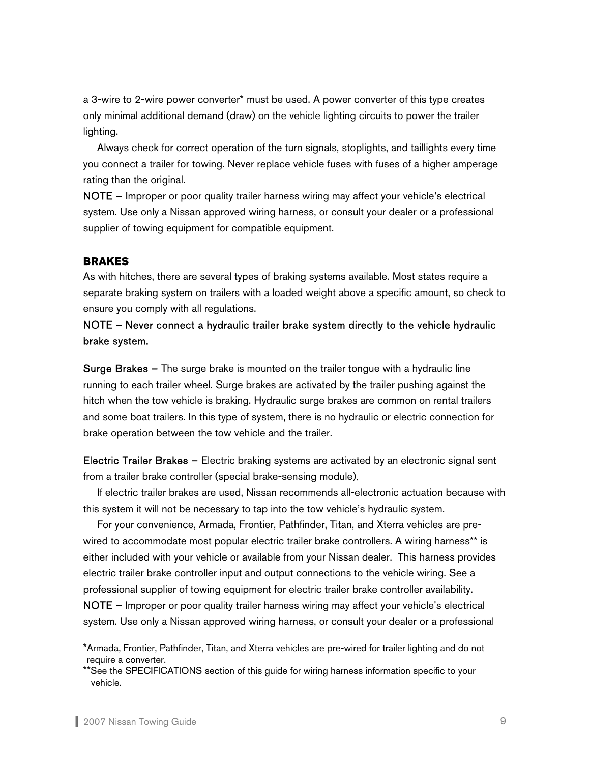a 3-wire to 2-wire power converter\* must be used. A power converter of this type creates only minimal additional demand (draw) on the vehicle lighting circuits to power the trailer lighting.

Always check for correct operation of the turn signals, stoplights, and taillights every time you connect a trailer for towing. Never replace vehicle fuses with fuses of a higher amperage rating than the original.

NOTE – Improper or poor quality trailer harness wiring may affect your vehicle's electrical system. Use only a Nissan approved wiring harness, or consult your dealer or a professional supplier of towing equipment for compatible equipment.

#### **BRAKES**

As with hitches, there are several types of braking systems available. Most states require a separate braking system on trailers with a loaded weight above a specific amount, so check to ensure you comply with all regulations.

# NOTE – Never connect a hydraulic trailer brake system directly to the vehicle hydraulic brake system.

Surge Brakes – The surge brake is mounted on the trailer tongue with a hydraulic line running to each trailer wheel. Surge brakes are activated by the trailer pushing against the hitch when the tow vehicle is braking. Hydraulic surge brakes are common on rental trailers and some boat trailers. In this type of system, there is no hydraulic or electric connection for brake operation between the tow vehicle and the trailer.

Electric Trailer Brakes – Electric braking systems are activated by an electronic signal sent from a trailer brake controller (special brake-sensing module).

 If electric trailer brakes are used, Nissan recommends all-electronic actuation because with this system it will not be necessary to tap into the tow vehicle's hydraulic system.

For your convenience, Armada, Frontier, Pathfinder, Titan, and Xterra vehicles are prewired to accommodate most popular electric trailer brake controllers. A wiring harness\*\* is either included with your vehicle or available from your Nissan dealer. This harness provides electric trailer brake controller input and output connections to the vehicle wiring. See a professional supplier of towing equipment for electric trailer brake controller availability.

NOTE – Improper or poor quality trailer harness wiring may affect your vehicle's electrical system. Use only a Nissan approved wiring harness, or consult your dealer or a professional

<sup>\*</sup>Armada, Frontier, Pathfinder, Titan, and Xterra vehicles are pre-wired for trailer lighting and do not require a converter.

<sup>\*\*</sup>See the SPECIFICATIONS section of this guide for wiring harness information specific to your vehicle.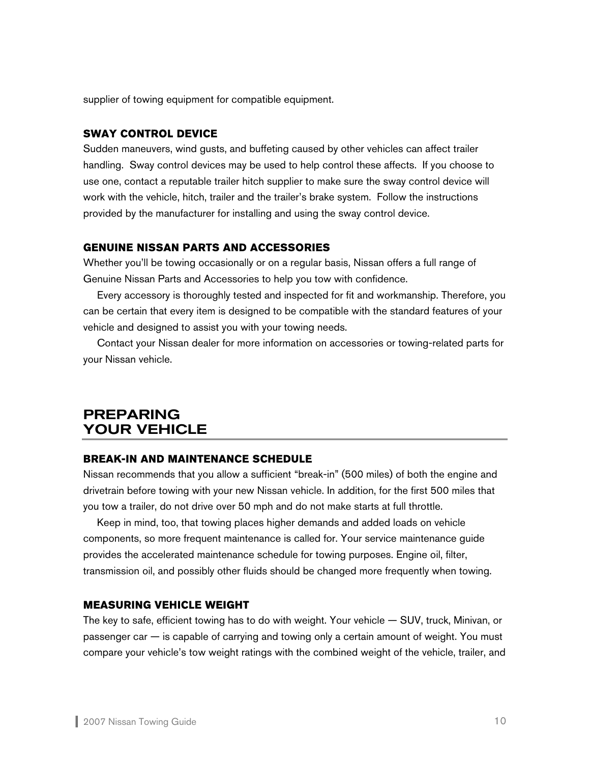<span id="page-10-0"></span>supplier of towing equipment for compatible equipment.

# **SWAY CONTROL DEVICE**

Sudden maneuvers, wind gusts, and buffeting caused by other vehicles can affect trailer handling. Sway control devices may be used to help control these affects. If you choose to use one, contact a reputable trailer hitch supplier to make sure the sway control device will work with the vehicle, hitch, trailer and the trailer's brake system. Follow the instructions provided by the manufacturer for installing and using the sway control device.

#### **GENUINE NISSAN PARTS AND ACCESSORIES**

Whether you'll be towing occasionally or on a regular basis, Nissan offers a full range of Genuine Nissan Parts and Accessories to help you tow with confidence.

 Every accessory is thoroughly tested and inspected for fit and workmanship. Therefore, you can be certain that every item is designed to be compatible with the standard features of your vehicle and designed to assist you with your towing needs.

 Contact your Nissan dealer for more information on accessories or towing-related parts for your Nissan vehicle.

# PREPARING YOUR VEHICLE

#### **BREAK-IN AND MAINTENANCE SCHEDULE**

Nissan recommends that you allow a sufficient "break-in" (500 miles) of both the engine and drivetrain before towing with your new Nissan vehicle. In addition, for the first 500 miles that you tow a trailer, do not drive over 50 mph and do not make starts at full throttle.

 Keep in mind, too, that towing places higher demands and added loads on vehicle components, so more frequent maintenance is called for. Your service maintenance guide provides the accelerated maintenance schedule for towing purposes. Engine oil, filter, transmission oil, and possibly other fluids should be changed more frequently when towing.

#### **MEASURING VEHICLE WEIGHT**

The key to safe, efficient towing has to do with weight. Your vehicle — SUV, truck, Minivan, or passenger car — is capable of carrying and towing only a certain amount of weight. You must compare your vehicle's tow weight ratings with the combined weight of the vehicle, trailer, and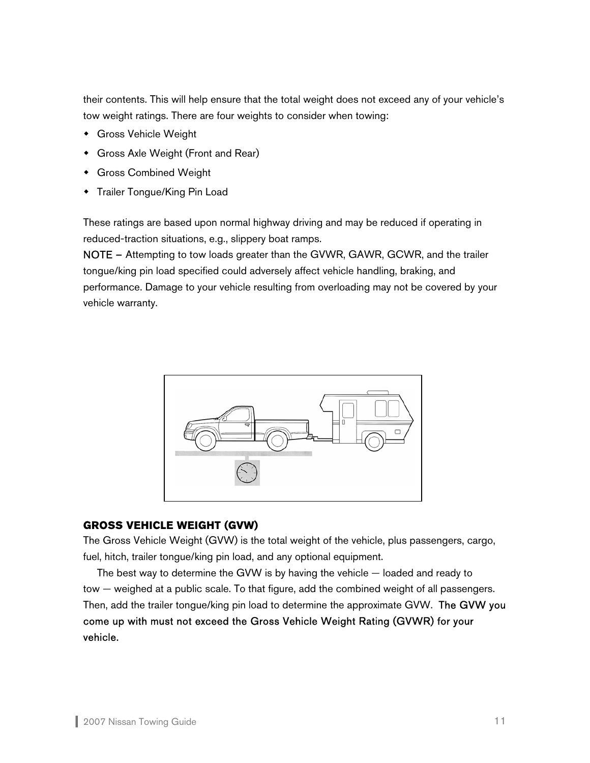their contents. This will help ensure that the total weight does not exceed any of your vehicle's tow weight ratings. There are four weights to consider when towing:

- Gross Vehicle Weight
- Gross Axle Weight (Front and Rear)
- Gross Combined Weight
- **\*** Trailer Tongue/King Pin Load

These ratings are based upon normal highway driving and may be reduced if operating in reduced-traction situations, e.g., slippery boat ramps.

NOTE – Attempting to tow loads greater than the GVWR, GAWR, GCWR, and the trailer tongue/king pin load specified could adversely affect vehicle handling, braking, and performance. Damage to your vehicle resulting from overloading may not be covered by your vehicle warranty.



# **GROSS VEHICLE WEIGHT (GVW)**

The Gross Vehicle Weight (GVW) is the total weight of the vehicle, plus passengers, cargo, fuel, hitch, trailer tongue/king pin load, and any optional equipment.

 The best way to determine the GVW is by having the vehicle — loaded and ready to tow — weighed at a public scale. To that figure, add the combined weight of all passengers. Then, add the trailer tongue/king pin load to determine the approximate GVW. The GVW you come up with must not exceed the Gross Vehicle Weight Rating (GVWR) for your vehicle.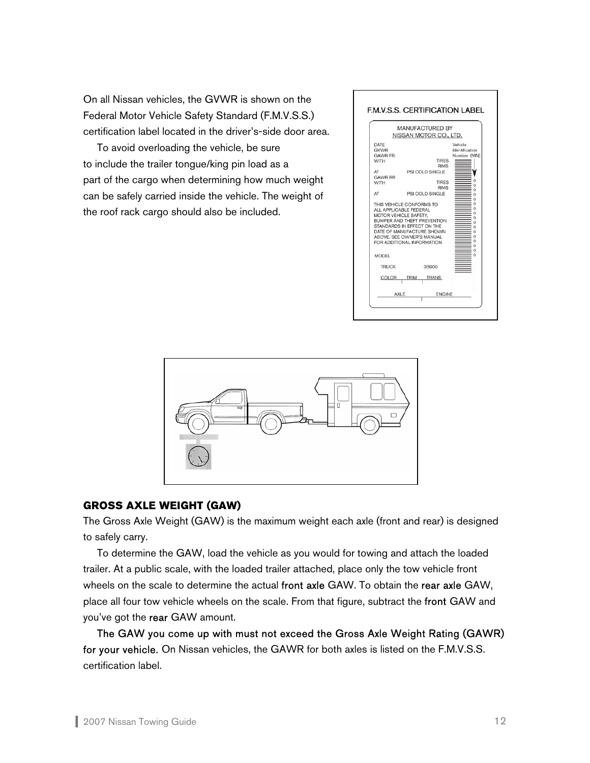On all Nissan vehicles, the GVWR is shown on the Federal Motor Vehicle Safety Standard (F.M.V.S.S.) certification label located in the driver's-side door area.

 To avoid overloading the vehicle, be sure to include the trailer tongue/king pin load as a part of the cargo when determining how much weight can be safely carried inside the vehicle. The weight of the roof rack cargo should also be included.





# **GROSS AXLE WEIGHT (GAW)**

The Gross Axle Weight (GAW) is the maximum weight each axle (front and rear) is designed to safely carry.

 To determine the GAW, load the vehicle as you would for towing and attach the loaded trailer. At a public scale, with the loaded trailer attached, place only the tow vehicle front wheels on the scale to determine the actual front axle GAW. To obtain the rear axle GAW, place all four tow vehicle wheels on the scale. From that figure, subtract the front GAW and you've got the rear GAW amount.

The GAW you come up with must not exceed the Gross Axle Weight Rating (GAWR) for your vehicle. On Nissan vehicles, the GAWR for both axles is listed on the F.M.V.S.S. certification label.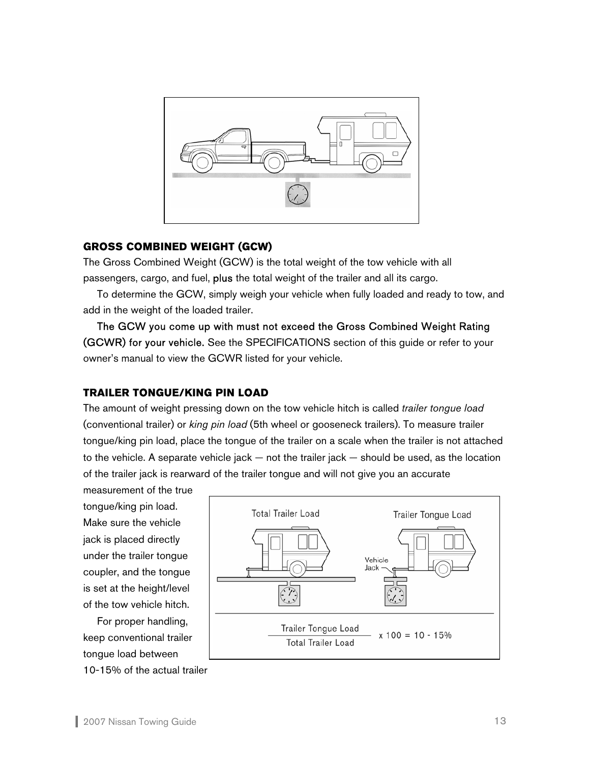

# **GROSS COMBINED WEIGHT (GCW)**

The Gross Combined Weight (GCW) is the total weight of the tow vehicle with all passengers, cargo, and fuel, plus the total weight of the trailer and all its cargo.

 To determine the GCW, simply weigh your vehicle when fully loaded and ready to tow, and add in the weight of the loaded trailer.

The GCW you come up with must not exceed the Gross Combined Weight Rating (GCWR) for your vehicle. See the SPECIFICATIONS section of this guide or refer to your owner's manual to view the GCWR listed for your vehicle.

# **TRAILER TONGUE/KING PIN LOAD**

The amount of weight pressing down on the tow vehicle hitch is called *trailer tongue load* (conventional trailer) or *king pin load* (5th wheel or gooseneck trailers). To measure trailer tongue/king pin load, place the tongue of the trailer on a scale when the trailer is not attached to the vehicle. A separate vehicle jack — not the trailer jack — should be used, as the location of the trailer jack is rearward of the trailer tongue and will not give you an accurate

measurement of the true tongue/king pin load. Make sure the vehicle jack is placed directly under the trailer tongue coupler, and the tongue is set at the height/level of the tow vehicle hitch.

 For proper handling, keep conventional trailer tongue load between 10-15% of the actual trailer

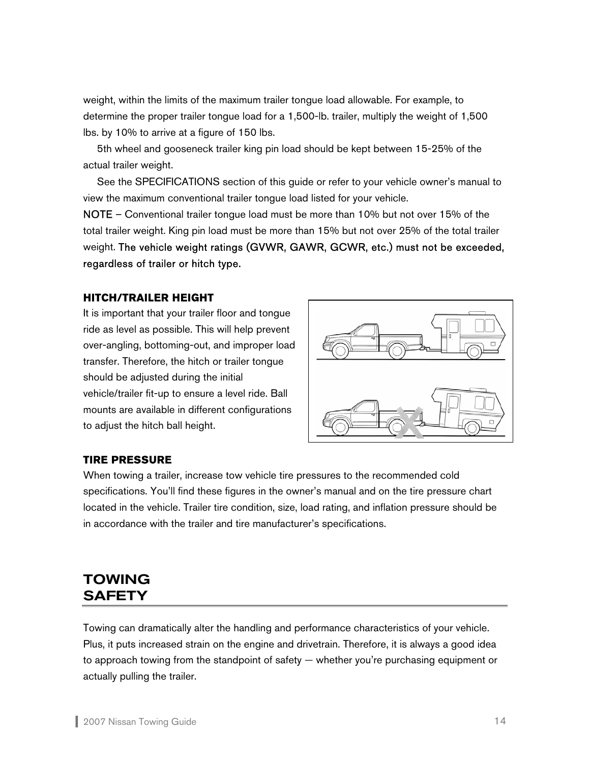<span id="page-14-0"></span>weight, within the limits of the maximum trailer tongue load allowable. For example, to determine the proper trailer tongue load for a 1,500-lb. trailer, multiply the weight of 1,500 lbs. by 10% to arrive at a figure of 150 lbs.

 5th wheel and gooseneck trailer king pin load should be kept between 15-25% of the actual trailer weight.

 See the SPECIFICATIONS section of this guide or refer to your vehicle owner's manual to view the maximum conventional trailer tongue load listed for your vehicle.

NOTE – Conventional trailer tongue load must be more than 10% but not over 15% of the total trailer weight. King pin load must be more than 15% but not over 25% of the total trailer weight. The vehicle weight ratings (GVWR, GAWR, GCWR, etc.) must not be exceeded, regardless of trailer or hitch type.

# **HITCH/TRAILER HEIGHT**

It is important that your trailer floor and tongue ride as level as possible. This will help prevent over-angling, bottoming-out, and improper load transfer. Therefore, the hitch or trailer tongue should be adjusted during the initial vehicle/trailer fit-up to ensure a level ride. Ball mounts are available in different configurations to adjust the hitch ball height.



#### **TIRE PRESSURE**

When towing a trailer, increase tow vehicle tire pressures to the recommended cold specifications. You'll find these figures in the owner's manual and on the tire pressure chart located in the vehicle. Trailer tire condition, size, load rating, and inflation pressure should be in accordance with the trailer and tire manufacturer's specifications.

# TOWING **SAFETY**

Towing can dramatically alter the handling and performance characteristics of your vehicle. Plus, it puts increased strain on the engine and drivetrain. Therefore, it is always a good idea to approach towing from the standpoint of safety — whether you're purchasing equipment or actually pulling the trailer.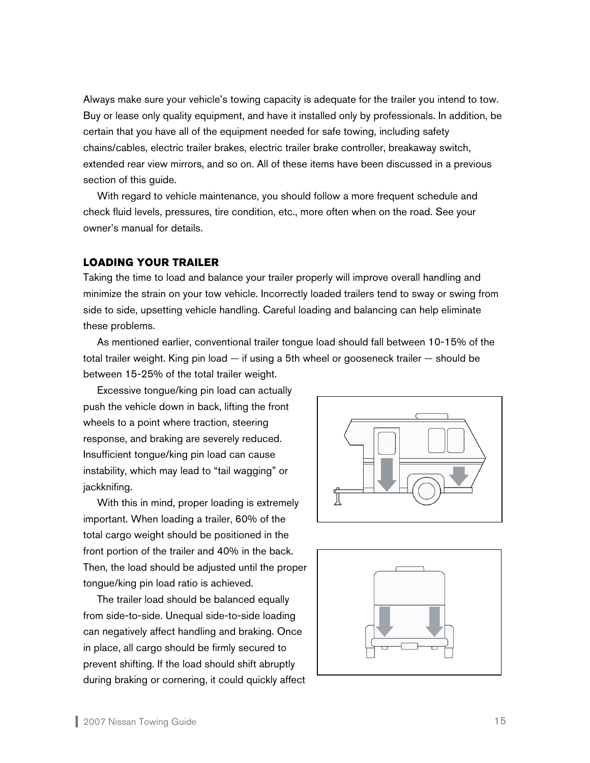Always make sure your vehicle's towing capacity is adequate for the trailer you intend to tow. Buy or lease only quality equipment, and have it installed only by professionals. In addition, be certain that you have all of the equipment needed for safe towing, including safety chains/cables, electric trailer brakes, electric trailer brake controller, breakaway switch, extended rear view mirrors, and so on. All of these items have been discussed in a previous section of this guide.

 With regard to vehicle maintenance, you should follow a more frequent schedule and check fluid levels, pressures, tire condition, etc., more often when on the road. See your owner's manual for details.

#### **LOADING YOUR TRAILER**

Taking the time to load and balance your trailer properly will improve overall handling and minimize the strain on your tow vehicle. Incorrectly loaded trailers tend to sway or swing from side to side, upsetting vehicle handling. Careful loading and balancing can help eliminate these problems.

 As mentioned earlier, conventional trailer tongue load should fall between 10-15% of the total trailer weight. King pin load — if using a 5th wheel or gooseneck trailer — should be between 15-25% of the total trailer weight.

Excessive tongue/king pin load can actually push the vehicle down in back, lifting the front wheels to a point where traction, steering response, and braking are severely reduced. Insufficient tongue/king pin load can cause instability, which may lead to "tail wagging" or jackknifing.

With this in mind, proper loading is extremely important. When loading a trailer, 60% of the total cargo weight should be positioned in the front portion of the trailer and 40% in the back. Then, the load should be adjusted until the proper tongue/king pin load ratio is achieved.

 The trailer load should be balanced equally from side-to-side. Unequal side-to-side loading can negatively affect handling and braking. Once in place, all cargo should be firmly secured to prevent shifting. If the load should shift abruptly during braking or cornering, it could quickly affect



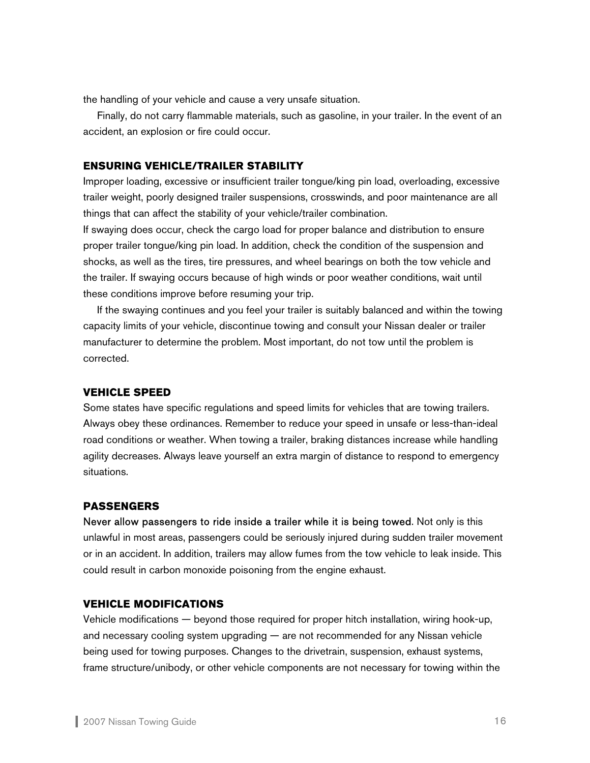the handling of your vehicle and cause a very unsafe situation.

 Finally, do not carry flammable materials, such as gasoline, in your trailer. In the event of an accident, an explosion or fire could occur.

# **ENSURING VEHICLE/TRAILER STABILITY**

Improper loading, excessive or insufficient trailer tongue/king pin load, overloading, excessive trailer weight, poorly designed trailer suspensions, crosswinds, and poor maintenance are all things that can affect the stability of your vehicle/trailer combination.

If swaying does occur, check the cargo load for proper balance and distribution to ensure proper trailer tongue/king pin load. In addition, check the condition of the suspension and shocks, as well as the tires, tire pressures, and wheel bearings on both the tow vehicle and the trailer. If swaying occurs because of high winds or poor weather conditions, wait until these conditions improve before resuming your trip.

 If the swaying continues and you feel your trailer is suitably balanced and within the towing capacity limits of your vehicle, discontinue towing and consult your Nissan dealer or trailer manufacturer to determine the problem. Most important, do not tow until the problem is corrected.

#### **VEHICLE SPEED**

Some states have specific regulations and speed limits for vehicles that are towing trailers. Always obey these ordinances. Remember to reduce your speed in unsafe or less-than-ideal road conditions or weather. When towing a trailer, braking distances increase while handling agility decreases. Always leave yourself an extra margin of distance to respond to emergency situations.

#### **PASSENGERS**

Never allow passengers to ride inside a trailer while it is being towed. Not only is this unlawful in most areas, passengers could be seriously injured during sudden trailer movement or in an accident. In addition, trailers may allow fumes from the tow vehicle to leak inside. This could result in carbon monoxide poisoning from the engine exhaust.

#### **VEHICLE MODIFICATIONS**

Vehicle modifications — beyond those required for proper hitch installation, wiring hook-up, and necessary cooling system upgrading — are not recommended for any Nissan vehicle being used for towing purposes. Changes to the drivetrain, suspension, exhaust systems, frame structure/unibody, or other vehicle components are not necessary for towing within the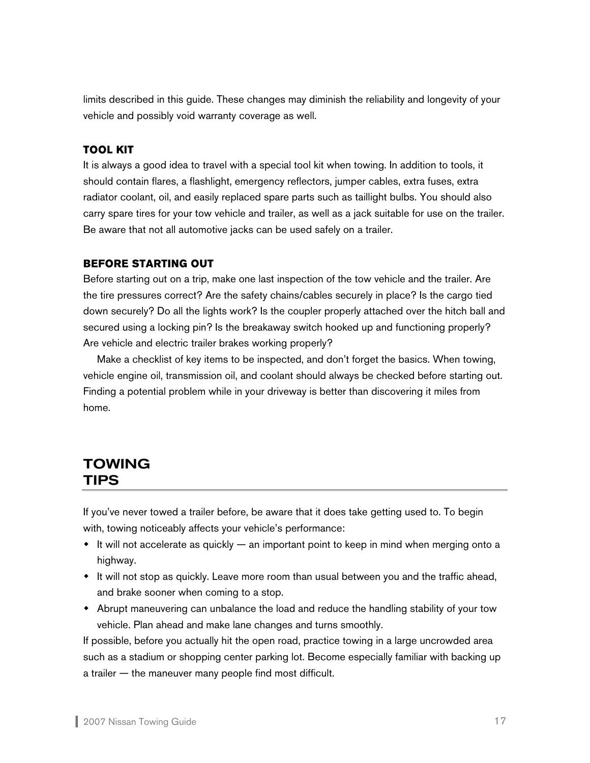<span id="page-17-0"></span>limits described in this guide. These changes may diminish the reliability and longevity of your vehicle and possibly void warranty coverage as well.

# **TOOL KIT**

It is always a good idea to travel with a special tool kit when towing. In addition to tools, it should contain flares, a flashlight, emergency reflectors, jumper cables, extra fuses, extra radiator coolant, oil, and easily replaced spare parts such as taillight bulbs. You should also carry spare tires for your tow vehicle and trailer, as well as a jack suitable for use on the trailer. Be aware that not all automotive jacks can be used safely on a trailer.

# **BEFORE STARTING OUT**

Before starting out on a trip, make one last inspection of the tow vehicle and the trailer. Are the tire pressures correct? Are the safety chains/cables securely in place? Is the cargo tied down securely? Do all the lights work? Is the coupler properly attached over the hitch ball and secured using a locking pin? Is the breakaway switch hooked up and functioning properly? Are vehicle and electric trailer brakes working properly?

 Make a checklist of key items to be inspected, and don't forget the basics. When towing, vehicle engine oil, transmission oil, and coolant should always be checked before starting out. Finding a potential problem while in your driveway is better than discovering it miles from home.

# TOWING TIPS

If you've never towed a trailer before, be aware that it does take getting used to. To begin with, towing noticeably affects your vehicle's performance:

- $\bullet$  It will not accelerate as quickly an important point to keep in mind when merging onto a highway.
- $\bullet$  It will not stop as quickly. Leave more room than usual between you and the traffic ahead, and brake sooner when coming to a stop.
- Abrupt maneuvering can unbalance the load and reduce the handling stability of your tow vehicle. Plan ahead and make lane changes and turns smoothly.

If possible, before you actually hit the open road, practice towing in a large uncrowded area such as a stadium or shopping center parking lot. Become especially familiar with backing up a trailer — the maneuver many people find most difficult.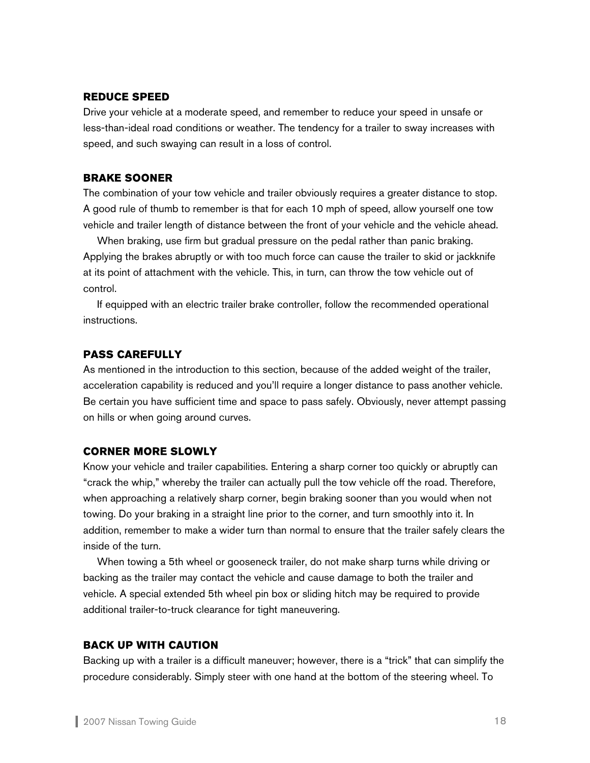#### **REDUCE SPEED**

Drive your vehicle at a moderate speed, and remember to reduce your speed in unsafe or less-than-ideal road conditions or weather. The tendency for a trailer to sway increases with speed, and such swaying can result in a loss of control.

#### **BRAKE SOONER**

The combination of your tow vehicle and trailer obviously requires a greater distance to stop. A good rule of thumb to remember is that for each 10 mph of speed, allow yourself one tow vehicle and trailer length of distance between the front of your vehicle and the vehicle ahead.

 When braking, use firm but gradual pressure on the pedal rather than panic braking. Applying the brakes abruptly or with too much force can cause the trailer to skid or jackknife at its point of attachment with the vehicle. This, in turn, can throw the tow vehicle out of control.

 If equipped with an electric trailer brake controller, follow the recommended operational instructions.

# **PASS CAREFULLY**

As mentioned in the introduction to this section, because of the added weight of the trailer, acceleration capability is reduced and you'll require a longer distance to pass another vehicle. Be certain you have sufficient time and space to pass safely. Obviously, never attempt passing on hills or when going around curves.

### **CORNER MORE SLOWLY**

Know your vehicle and trailer capabilities. Entering a sharp corner too quickly or abruptly can "crack the whip," whereby the trailer can actually pull the tow vehicle off the road. Therefore, when approaching a relatively sharp corner, begin braking sooner than you would when not towing. Do your braking in a straight line prior to the corner, and turn smoothly into it. In addition, remember to make a wider turn than normal to ensure that the trailer safely clears the inside of the turn.

 When towing a 5th wheel or gooseneck trailer, do not make sharp turns while driving or backing as the trailer may contact the vehicle and cause damage to both the trailer and vehicle. A special extended 5th wheel pin box or sliding hitch may be required to provide additional trailer-to-truck clearance for tight maneuvering.

#### **BACK UP WITH CAUTION**

Backing up with a trailer is a difficult maneuver; however, there is a "trick" that can simplify the procedure considerably. Simply steer with one hand at the bottom of the steering wheel. To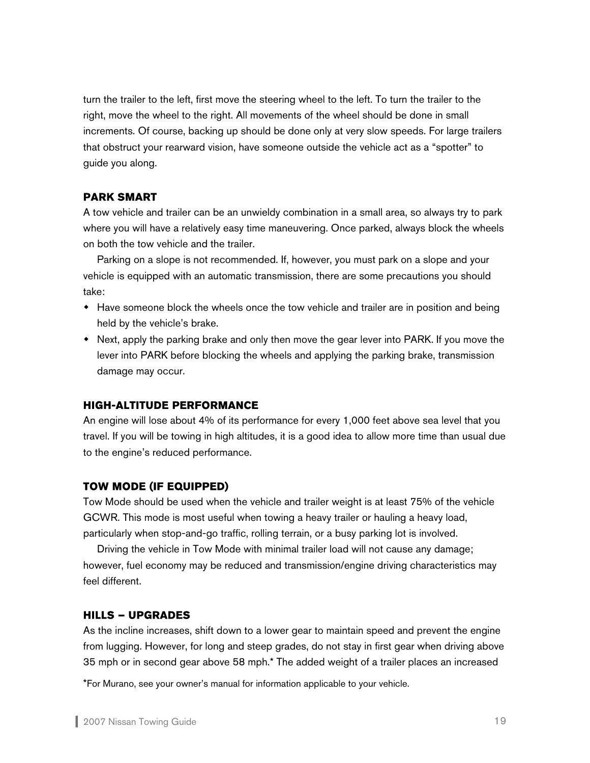turn the trailer to the left, first move the steering wheel to the left. To turn the trailer to the right, move the wheel to the right. All movements of the wheel should be done in small increments. Of course, backing up should be done only at very slow speeds. For large trailers that obstruct your rearward vision, have someone outside the vehicle act as a "spotter" to guide you along.

# **PARK SMART**

A tow vehicle and trailer can be an unwieldy combination in a small area, so always try to park where you will have a relatively easy time maneuvering. Once parked, always block the wheels on both the tow vehicle and the trailer.

 Parking on a slope is not recommended. If, however, you must park on a slope and your vehicle is equipped with an automatic transmission, there are some precautions you should take:

- Have someone block the wheels once the tow vehicle and trailer are in position and being held by the vehicle's brake.
- Next, apply the parking brake and only then move the gear lever into PARK. If you move the lever into PARK before blocking the wheels and applying the parking brake, transmission damage may occur.

#### **HIGH-ALTITUDE PERFORMANCE**

An engine will lose about 4% of its performance for every 1,000 feet above sea level that you travel. If you will be towing in high altitudes, it is a good idea to allow more time than usual due to the engine's reduced performance.

#### **TOW MODE (IF EQUIPPED)**

Tow Mode should be used when the vehicle and trailer weight is at least 75% of the vehicle GCWR. This mode is most useful when towing a heavy trailer or hauling a heavy load, particularly when stop-and-go traffic, rolling terrain, or a busy parking lot is involved.

 Driving the vehicle in Tow Mode with minimal trailer load will not cause any damage; however, fuel economy may be reduced and transmission/engine driving characteristics may feel different.

### **HILLS – UPGRADES**

As the incline increases, shift down to a lower gear to maintain speed and prevent the engine from lugging. However, for long and steep grades, do not stay in first gear when driving above 35 mph or in second gear above 58 mph.\* The added weight of a trailer places an increased

\*For Murano, see your owner's manual for information applicable to your vehicle.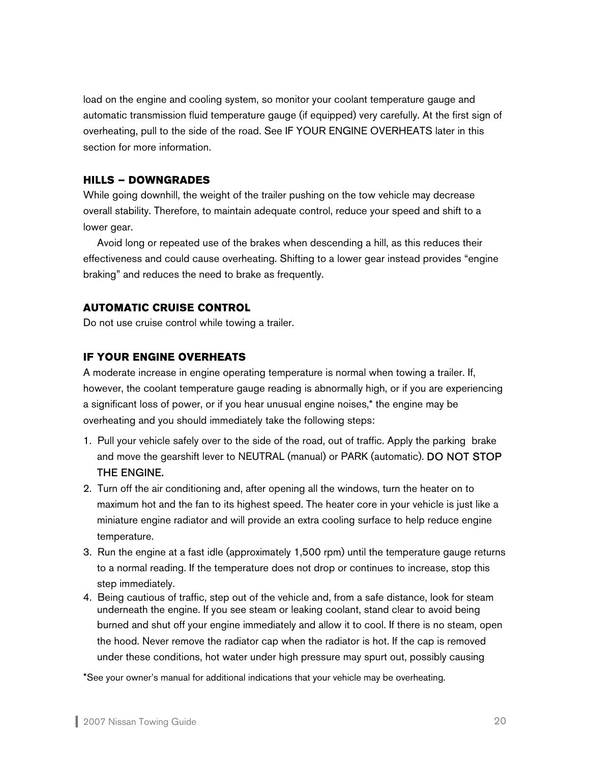load on the engine and cooling system, so monitor your coolant temperature gauge and automatic transmission fluid temperature gauge (if equipped) very carefully. At the first sign of overheating, pull to the side of the road. See IF YOUR ENGINE OVERHEATS later in this section for more information.

# **HILLS – DOWNGRADES**

While going downhill, the weight of the trailer pushing on the tow vehicle may decrease overall stability. Therefore, to maintain adequate control, reduce your speed and shift to a lower gear.

Avoid long or repeated use of the brakes when descending a hill, as this reduces their effectiveness and could cause overheating. Shifting to a lower gear instead provides "engine braking" and reduces the need to brake as frequently.

# **AUTOMATIC CRUISE CONTROL**

Do not use cruise control while towing a trailer.

# **IF YOUR ENGINE OVERHEATS**

A moderate increase in engine operating temperature is normal when towing a trailer. If, however, the coolant temperature gauge reading is abnormally high, or if you are experiencing a significant loss of power, or if you hear unusual engine noises,\* the engine may be overheating and you should immediately take the following steps:

- 1. Pull your vehicle safely over to the side of the road, out of traffic. Apply the parking brake and move the gearshift lever to NEUTRAL (manual) or PARK (automatic). DO NOT STOP THE ENGINE.
- 2. Turn off the air conditioning and, after opening all the windows, turn the heater on to maximum hot and the fan to its highest speed. The heater core in your vehicle is just like a miniature engine radiator and will provide an extra cooling surface to help reduce engine temperature.
- 3. Run the engine at a fast idle (approximately 1,500 rpm) until the temperature gauge returns to a normal reading. If the temperature does not drop or continues to increase, stop this step immediately.
- 4. Being cautious of traffic, step out of the vehicle and, from a safe distance, look for steam underneath the engine. If you see steam or leaking coolant, stand clear to avoid being burned and shut off your engine immediately and allow it to cool. If there is no steam, open the hood. Never remove the radiator cap when the radiator is hot. If the cap is removed under these conditions, hot water under high pressure may spurt out, possibly causing

\*See your owner's manual for additional indications that your vehicle may be overheating.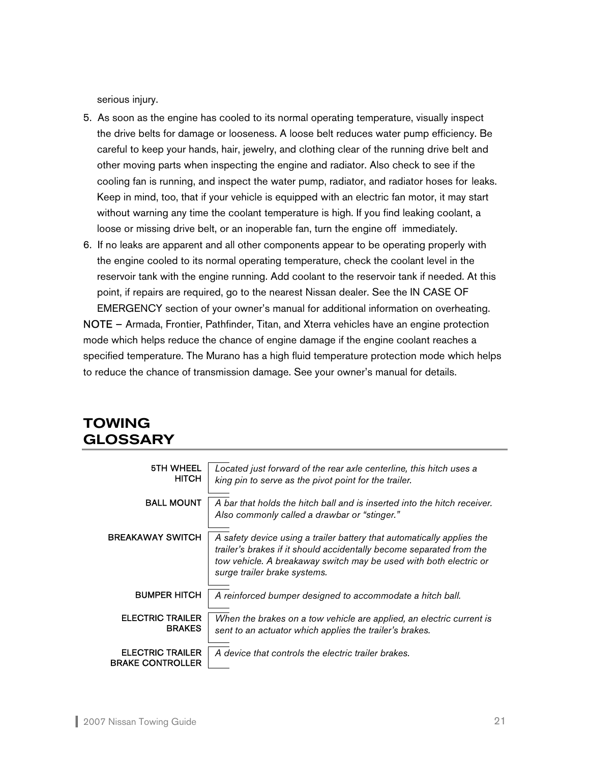<span id="page-21-0"></span>serious injury.

- 5. As soon as the engine has cooled to its normal operating temperature, visually inspect the drive belts for damage or looseness. A loose belt reduces water pump efficiency. Be careful to keep your hands, hair, jewelry, and clothing clear of the running drive belt and other moving parts when inspecting the engine and radiator. Also check to see if the cooling fan is running, and inspect the water pump, radiator, and radiator hoses for leaks. Keep in mind, too, that if your vehicle is equipped with an electric fan motor, it may start without warning any time the coolant temperature is high. If you find leaking coolant, a loose or missing drive belt, or an inoperable fan, turn the engine off immediately.
- 6. If no leaks are apparent and all other components appear to be operating properly with the engine cooled to its normal operating temperature, check the coolant level in the reservoir tank with the engine running. Add coolant to the reservoir tank if needed. At this point, if repairs are required, go to the nearest Nissan dealer. See the IN CASE OF EMERGENCY section of your owner's manual for additional information on overheating.

NOTE – Armada, Frontier, Pathfinder, Titan, and Xterra vehicles have an engine protection mode which helps reduce the chance of engine damage if the engine coolant reaches a specified temperature. The Murano has a high fluid temperature protection mode which helps to reduce the chance of transmission damage. See your owner's manual for details.

# TOWING GLOSSARY

| <b>5TH WHEEL</b><br><b>HITCH</b>                   | Located just forward of the rear axle centerline, this hitch uses a<br>king pin to serve as the pivot point for the trailer.                                                                                                                        |
|----------------------------------------------------|-----------------------------------------------------------------------------------------------------------------------------------------------------------------------------------------------------------------------------------------------------|
| <b>BALL MOUNT</b>                                  | A bar that holds the hitch ball and is inserted into the hitch receiver.<br>Also commonly called a drawbar or "stinger."                                                                                                                            |
| <b>BREAKAWAY SWITCH</b>                            | A safety device using a trailer battery that automatically applies the<br>trailer's brakes if it should accidentally become separated from the<br>tow vehicle. A breakaway switch may be used with both electric or<br>surge trailer brake systems. |
| <b>BUMPER HITCH</b>                                | A reinforced bumper designed to accommodate a hitch ball.                                                                                                                                                                                           |
| <b>ELECTRIC TRAILER</b><br><b>BRAKES</b>           | When the brakes on a tow vehicle are applied, an electric current is<br>sent to an actuator which applies the trailer's brakes.                                                                                                                     |
| <b>ELECTRIC TRAILER</b><br><b>BRAKE CONTROLLER</b> | A device that controls the electric trailer brakes.                                                                                                                                                                                                 |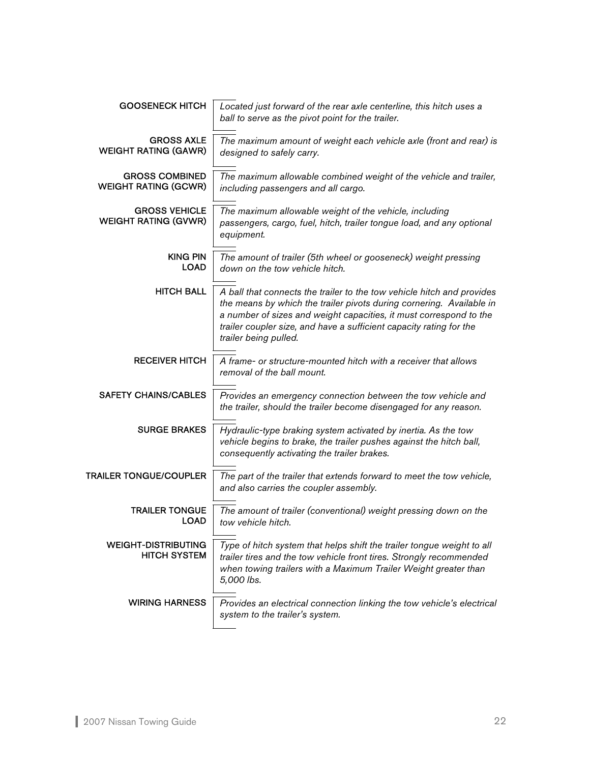| <b>GOOSENECK HITCH</b>                               | Located just forward of the rear axle centerline, this hitch uses a<br>ball to serve as the pivot point for the trailer.                                                                                                                                                                                             |
|------------------------------------------------------|----------------------------------------------------------------------------------------------------------------------------------------------------------------------------------------------------------------------------------------------------------------------------------------------------------------------|
| <b>GROSS AXLE</b><br><b>WEIGHT RATING (GAWR)</b>     | The maximum amount of weight each vehicle axle (front and rear) is<br>designed to safely carry.                                                                                                                                                                                                                      |
| <b>GROSS COMBINED</b><br><b>WEIGHT RATING (GCWR)</b> | The maximum allowable combined weight of the vehicle and trailer,<br>including passengers and all cargo.                                                                                                                                                                                                             |
| <b>GROSS VEHICLE</b><br><b>WEIGHT RATING (GVWR)</b>  | The maximum allowable weight of the vehicle, including<br>passengers, cargo, fuel, hitch, trailer tongue load, and any optional<br>equipment.                                                                                                                                                                        |
| <b>KING PIN</b><br><b>LOAD</b>                       | The amount of trailer (5th wheel or gooseneck) weight pressing<br>down on the tow vehicle hitch.                                                                                                                                                                                                                     |
| <b>HITCH BALL</b>                                    | A ball that connects the trailer to the tow vehicle hitch and provides<br>the means by which the trailer pivots during cornering. Available in<br>a number of sizes and weight capacities, it must correspond to the<br>trailer coupler size, and have a sufficient capacity rating for the<br>trailer being pulled. |
| <b>RECEIVER HITCH</b>                                | A frame- or structure-mounted hitch with a receiver that allows<br>removal of the ball mount.                                                                                                                                                                                                                        |
| <b>SAFETY CHAINS/CABLES</b>                          | Provides an emergency connection between the tow vehicle and<br>the trailer, should the trailer become disengaged for any reason.                                                                                                                                                                                    |
| <b>SURGE BRAKES</b>                                  | Hydraulic-type braking system activated by inertia. As the tow<br>vehicle begins to brake, the trailer pushes against the hitch ball,<br>consequently activating the trailer brakes.                                                                                                                                 |
| TRAILER TONGUE/COUPLER                               | The part of the trailer that extends forward to meet the tow vehicle,<br>and also carries the coupler assembly.                                                                                                                                                                                                      |
| <b>TRAILER TONGUE</b><br><b>LOAD</b>                 | The amount of trailer (conventional) weight pressing down on the<br>tow vehicle hitch.                                                                                                                                                                                                                               |
| <b>WEIGHT-DISTRIBUTING</b><br><b>HITCH SYSTEM</b>    | Type of hitch system that helps shift the trailer tongue weight to all<br>trailer tires and the tow vehicle front tires. Strongly recommended<br>when towing trailers with a Maximum Trailer Weight greater than<br>5,000 lbs.                                                                                       |
| <b>WIRING HARNESS</b>                                | Provides an electrical connection linking the tow vehicle's electrical<br>system to the trailer's system.                                                                                                                                                                                                            |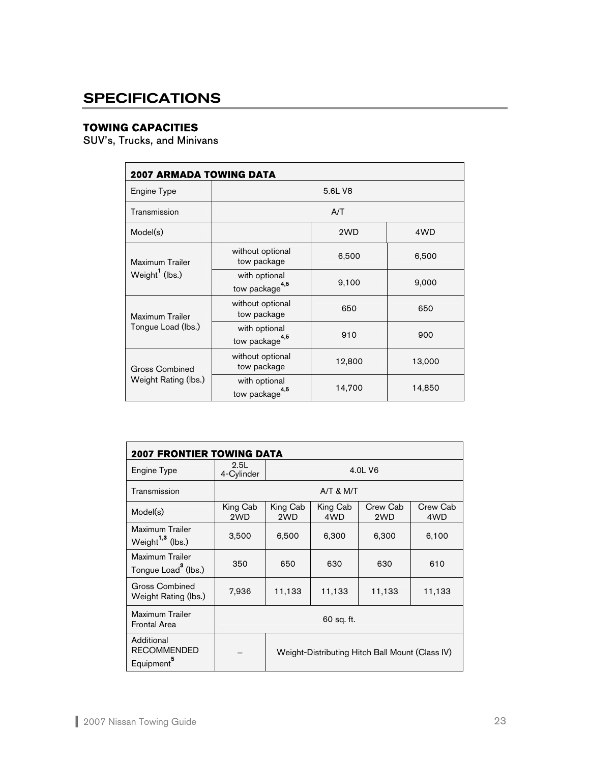# <span id="page-23-0"></span>**SPECIFICATIONS**

# **TOWING CAPACITIES**

SUV's, Trucks, and Minivans

| <b>2007 ARMADA TOWING DATA</b> |                                             |         |        |  |  |  |
|--------------------------------|---------------------------------------------|---------|--------|--|--|--|
| Engine Type                    |                                             | 5.6L V8 |        |  |  |  |
| Transmission                   |                                             | A/T     |        |  |  |  |
| Model(s)                       |                                             | 2WD     | 4WD    |  |  |  |
| Maximum Trailer                | without optional<br>tow package             | 6,500   | 6,500  |  |  |  |
| Weight <sup>1</sup> (lbs.)     | with optional<br>tow package <sup>4,5</sup> | 9,100   | 9,000  |  |  |  |
| Maximum Trailer                | without optional<br>tow package             | 650     | 650    |  |  |  |
| Tongue Load (lbs.)             | with optional<br>tow package <sup>4,5</sup> | 910     | 900    |  |  |  |
| <b>Gross Combined</b>          | without optional<br>tow package             | 12,800  | 13,000 |  |  |  |
| Weight Rating (lbs.)           | with optional<br>4,5<br>tow package         | 14,700  | 14,850 |  |  |  |

| <b>2007 FRONTIER TOWING DATA</b>                           |                                                 |                 |                 |                 |                 |  |  |
|------------------------------------------------------------|-------------------------------------------------|-----------------|-----------------|-----------------|-----------------|--|--|
| Engine Type                                                | 2.5L<br>4-Cylinder                              |                 |                 | 4.0L V6         |                 |  |  |
| Transmission                                               |                                                 |                 | $A/T$ & M/T     |                 |                 |  |  |
| Model(s)                                                   | King Cab<br>2WD                                 | King Cab<br>2WD | King Cab<br>4WD | Crew Cab<br>2WD | Crew Cab<br>4WD |  |  |
| Maximum Trailer<br>Weight <sup>1,3</sup> (lbs.)            | 3,500                                           | 6,500           | 6,300           | 6,300           | 6,100           |  |  |
| Maximum Trailer<br>Tongue Load <sup>3</sup> (lbs.)         | 350                                             | 650             | 630             | 630             | 610             |  |  |
| <b>Gross Combined</b><br>Weight Rating (lbs.)              | 7,936                                           | 11,133          | 11,133          | 11,133          | 11,133          |  |  |
| Maximum Trailer<br><b>Frontal Area</b>                     | 60 sq. ft.                                      |                 |                 |                 |                 |  |  |
| Additional<br><b>RECOMMENDED</b><br>Equipment <sup>5</sup> | Weight-Distributing Hitch Ball Mount (Class IV) |                 |                 |                 |                 |  |  |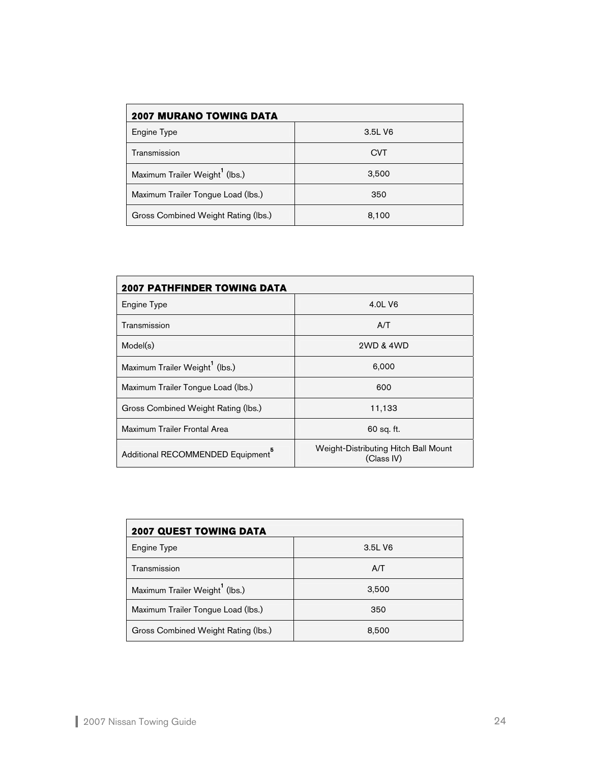| <b>2007 MURANO TOWING DATA</b>             |            |  |  |  |  |  |  |
|--------------------------------------------|------------|--|--|--|--|--|--|
| Engine Type                                | 3.5L V6    |  |  |  |  |  |  |
| Transmission                               | <b>CVT</b> |  |  |  |  |  |  |
| Maximum Trailer Weight <sup>1</sup> (lbs.) | 3,500      |  |  |  |  |  |  |
| Maximum Trailer Tongue Load (lbs.)         | 350        |  |  |  |  |  |  |
| Gross Combined Weight Rating (lbs.)        | 8,100      |  |  |  |  |  |  |

| <b>2007 PATHFINDER TOWING DATA</b>            |                                                    |  |  |  |  |  |
|-----------------------------------------------|----------------------------------------------------|--|--|--|--|--|
| Engine Type                                   | 4.0L V6                                            |  |  |  |  |  |
| Transmission                                  | A/T                                                |  |  |  |  |  |
| Model(s)                                      | 2WD & 4WD                                          |  |  |  |  |  |
| Maximum Trailer Weight <sup>1</sup> (lbs.)    | 6,000                                              |  |  |  |  |  |
| Maximum Trailer Tongue Load (lbs.)            | 600                                                |  |  |  |  |  |
| Gross Combined Weight Rating (lbs.)           | 11,133                                             |  |  |  |  |  |
| Maximum Trailer Frontal Area                  | 60 sq. ft.                                         |  |  |  |  |  |
| Additional RECOMMENDED Equipment <sup>6</sup> | Weight-Distributing Hitch Ball Mount<br>(Class IV) |  |  |  |  |  |

| 2007 QUEST TOWING DATA                     |         |  |  |  |  |  |  |
|--------------------------------------------|---------|--|--|--|--|--|--|
| Engine Type                                | 3.5L V6 |  |  |  |  |  |  |
| Transmission                               | A/T     |  |  |  |  |  |  |
| Maximum Trailer Weight <sup>1</sup> (lbs.) | 3,500   |  |  |  |  |  |  |
| Maximum Trailer Tongue Load (lbs.)         | 350     |  |  |  |  |  |  |
| Gross Combined Weight Rating (lbs.)        | 8,500   |  |  |  |  |  |  |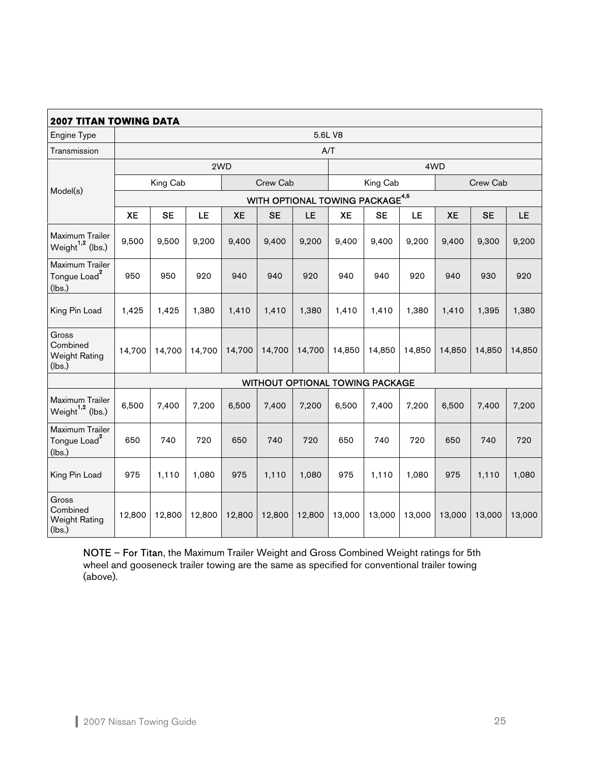| <b>2007 TITAN TOWING DATA</b>                         |           |           |           |           |           |                                             |           |           |           |           |           |        |
|-------------------------------------------------------|-----------|-----------|-----------|-----------|-----------|---------------------------------------------|-----------|-----------|-----------|-----------|-----------|--------|
| Engine Type                                           |           |           |           |           |           |                                             | 5.6L V8   |           |           |           |           |        |
| Transmission                                          |           |           |           |           |           | A/T                                         |           |           |           |           |           |        |
|                                                       |           |           |           | 2WD       |           |                                             |           |           |           | 4WD       |           |        |
|                                                       |           | King Cab  |           |           | Crew Cab  |                                             |           | King Cab  |           |           | Crew Cab  |        |
| Model(s)                                              |           |           |           |           |           | WITH OPTIONAL TOWING PACKAGE <sup>4,5</sup> |           |           |           |           |           |        |
|                                                       | <b>XE</b> | <b>SE</b> | <b>LE</b> | <b>XE</b> | <b>SE</b> | LE                                          | <b>XE</b> | <b>SE</b> | <b>LE</b> | <b>XE</b> | <b>SE</b> | LE     |
| Maximum Trailer<br>Weight <sup>1.2</sup> (lbs.)       | 9,500     | 9,500     | 9,200     | 9,400     | 9,400     | 9,200                                       | 9,400     | 9,400     | 9,200     | 9,400     | 9,300     | 9,200  |
| Maximum Trailer<br>Tongue Load <sup>2</sup><br>(lbs.) | 950       | 950       | 920       | 940       | 940       | 920                                         | 940       | 940       | 920       | 940       | 930       | 920    |
| King Pin Load                                         | 1,425     | 1,425     | 1,380     | 1,410     | 1,410     | 1,380                                       | 1,410     | 1,410     | 1,380     | 1,410     | 1,395     | 1,380  |
| Gross<br>Combined<br><b>Weight Rating</b><br>(lbs.)   | 14,700    | 14,700    | 14,700    | 14,700    | 14,700    | 14,700                                      | 14,850    | 14,850    | 14,850    | 14,850    | 14,850    | 14,850 |
|                                                       |           |           |           |           |           | WITHOUT OPTIONAL TOWING PACKAGE             |           |           |           |           |           |        |
| Maximum Trailer<br>Weight <sup>1,2</sup> (lbs.)       | 6,500     | 7,400     | 7,200     | 6,500     | 7,400     | 7,200                                       | 6,500     | 7,400     | 7,200     | 6,500     | 7,400     | 7,200  |
| Maximum Trailer<br>Tongue Load <sup>2</sup><br>(lbs.) | 650       | 740       | 720       | 650       | 740       | 720                                         | 650       | 740       | 720       | 650       | 740       | 720    |
| King Pin Load                                         | 975       | 1,110     | 1,080     | 975       | 1,110     | 1,080                                       | 975       | 1,110     | 1,080     | 975       | 1,110     | 1,080  |
| Gross<br>Combined<br><b>Weight Rating</b><br>(lbs.)   | 12,800    | 12,800    | 12,800    | 12,800    | 12,800    | 12,800                                      | 13,000    | 13,000    | 13,000    | 13,000    | 13,000    | 13,000 |

**NOTE – For Titan**, the Maximum Trailer Weight and Gross Combined Weight ratings for 5th wheel and gooseneck trailer towing are the same as specified for conventional trailer towing (above).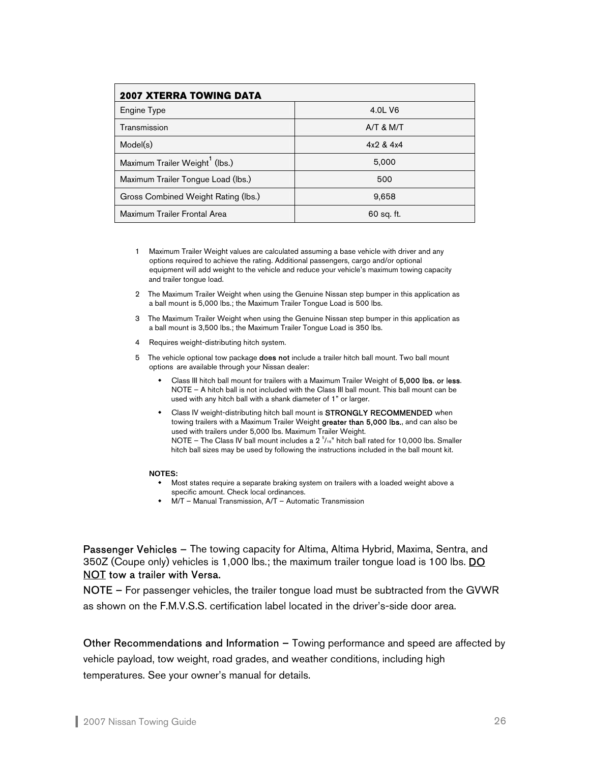| <b>2007 XTERRA TOWING DATA</b>             |             |  |  |  |  |  |
|--------------------------------------------|-------------|--|--|--|--|--|
| Engine Type                                | 4.0L V6     |  |  |  |  |  |
| Transmission                               | $A/T$ & M/T |  |  |  |  |  |
| Model(s)                                   | 4x2 & 4x4   |  |  |  |  |  |
| Maximum Trailer Weight <sup>1</sup> (lbs.) | 5.000       |  |  |  |  |  |
| Maximum Trailer Tongue Load (lbs.)         | 500         |  |  |  |  |  |
| Gross Combined Weight Rating (lbs.)        | 9,658       |  |  |  |  |  |
| Maximum Trailer Frontal Area               | 60 sq. ft.  |  |  |  |  |  |

- 1 Maximum Trailer Weight values are calculated assuming a base vehicle with driver and any options required to achieve the rating. Additional passengers, cargo and/or optional equipment will add weight to the vehicle and reduce your vehicle's maximum towing capacity and trailer tongue load.
- 2 The Maximum Trailer Weight when using the Genuine Nissan step bumper in this application as a ball mount is 5,000 lbs.; the Maximum Trailer Tongue Load is 500 lbs.
- 3 The Maximum Trailer Weight when using the Genuine Nissan step bumper in this application as a ball mount is 3,500 lbs.; the Maximum Trailer Tongue Load is 350 lbs.
- 4 Requires weight-distributing hitch system.
- 5 The vehicle optional tow package **does not** include a trailer hitch ball mount. Two ball mount options are available through your Nissan dealer:
	- Class III hitch ball mount for trailers with a Maximum Trailer Weight of 5,000 lbs. or less. NOTE – A hitch ball is not included with the Class III ball mount. This ball mount can be used with any hitch ball with a shank diameter of 1" or larger.
	- Class IV weight-distributing hitch ball mount is STRONGLY RECOMMENDED when towing trailers with a Maximum Trailer Weight greater than 5,000 lbs., and can also be used with trailers under 5,000 lbs. Maximum Trailer Weight. NOTE - The Class IV ball mount includes a  $2^{5}/_{16}$ " hitch ball rated for 10,000 lbs. Smaller hitch ball sizes may be used by following the instructions included in the ball mount kit.

#### **NOTES:**

- Most states require a separate braking system on trailers with a loaded weight above a specific amount. Check local ordinances.
- M/T Manual Transmission, A/T Automatic Transmission

Passenger Vehicles – The towing capacity for Altima, Altima Hybrid, Maxima, Sentra, and 350Z (Coupe only) vehicles is 1,000 lbs.; the maximum trailer tongue load is 100 lbs. **DO** NOT tow a trailer with Versa.

NOTE – For passenger vehicles, the trailer tongue load must be subtracted from the GVWR as shown on the F.M.V.S.S. certification label located in the driver's-side door area.

Other Recommendations and Information – Towing performance and speed are affected by vehicle payload, tow weight, road grades, and weather conditions, including high temperatures. See your owner's manual for details.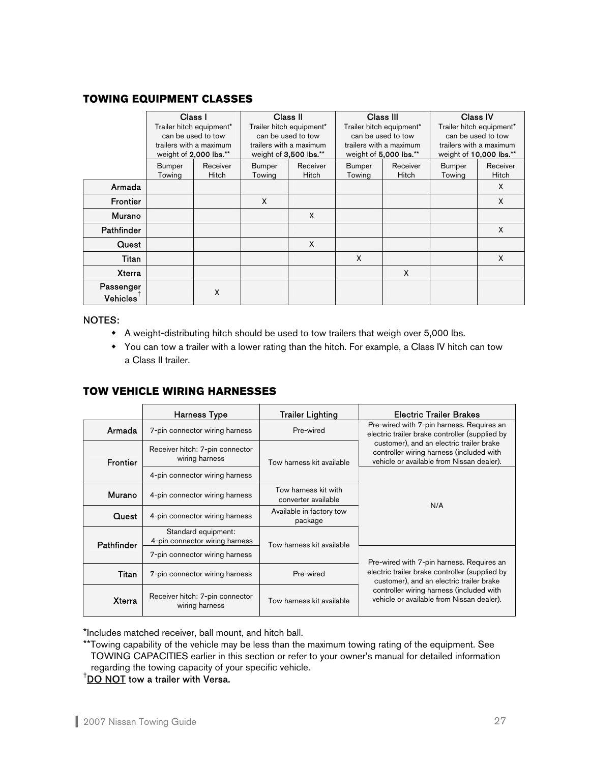# **TOWING EQUIPMENT CLASSES**

|                       | Class I |                          |               | Class II                 |               | Class III                |               | Class IV                 |  |
|-----------------------|---------|--------------------------|---------------|--------------------------|---------------|--------------------------|---------------|--------------------------|--|
|                       |         | Trailer hitch equipment* |               | Trailer hitch equipment* |               | Trailer hitch equipment* |               | Trailer hitch equipment* |  |
|                       |         | can be used to tow       |               | can be used to tow       |               | can be used to tow       |               | can be used to tow       |  |
|                       |         | trailers with a maximum  |               | trailers with a maximum  |               | trailers with a maximum  |               | trailers with a maximum  |  |
|                       |         | weight of 2,000 lbs.**   |               | weight of 3,500 lbs.**   |               | weight of 5,000 lbs.**   |               | weight of 10,000 lbs.**  |  |
|                       | Bumper  | Receiver                 | <b>Bumper</b> | Receiver                 | <b>Bumper</b> | Receiver                 | <b>Bumper</b> | Receiver                 |  |
|                       | Towing  | <b>Hitch</b>             | Towing        | <b>Hitch</b>             | Towing        | Hitch                    | Towing        | <b>Hitch</b>             |  |
| Armada                |         |                          |               |                          |               |                          |               | X                        |  |
| <b>Frontier</b>       |         |                          | X             |                          |               |                          |               | X                        |  |
| Murano                |         |                          |               | X                        |               |                          |               |                          |  |
| <b>Pathfinder</b>     |         |                          |               |                          |               |                          |               | X                        |  |
| Quest                 |         |                          |               | X                        |               |                          |               |                          |  |
| Titan                 |         |                          |               |                          | X             |                          |               | X                        |  |
| <b>Xterra</b>         |         |                          |               |                          |               | X                        |               |                          |  |
| Passenger<br>Vehicles |         | X                        |               |                          |               |                          |               |                          |  |

#### NOTES:

- A weight-distributing hitch should be used to tow trailers that weigh over 5,000 lbs.
- You can tow a trailer with a lower rating than the hitch. For example, a Class IV hitch can tow a Class II trailer.

# **TOW VEHICLE WIRING HARNESSES**

|                 | Harness Type                                          | <b>Trailer Lighting</b>                     | <b>Electric Trailer Brakes</b>                                                                                                    |  |  |
|-----------------|-------------------------------------------------------|---------------------------------------------|-----------------------------------------------------------------------------------------------------------------------------------|--|--|
| Armada          | 7-pin connector wiring harness                        | Pre-wired                                   | Pre-wired with 7-pin harness. Requires an<br>electric trailer brake controller (supplied by                                       |  |  |
| <b>Frontier</b> | Receiver hitch: 7-pin connector<br>wiring harness     | Tow harness kit available                   | customer), and an electric trailer brake<br>controller wiring harness (included with<br>vehicle or available from Nissan dealer). |  |  |
|                 | 4-pin connector wiring harness                        |                                             |                                                                                                                                   |  |  |
| Murano          | 4-pin connector wiring harness                        | Tow harness kit with<br>converter available | N/A                                                                                                                               |  |  |
| Quest           | 4-pin connector wiring harness                        | Available in factory tow<br>package         |                                                                                                                                   |  |  |
| Pathfinder      | Standard equipment:<br>4-pin connector wiring harness | Tow harness kit available                   |                                                                                                                                   |  |  |
|                 | 7-pin connector wiring harness                        |                                             | Pre-wired with 7-pin harness. Requires an                                                                                         |  |  |
| Titan           | 7-pin connector wiring harness                        | Pre-wired                                   | electric trailer brake controller (supplied by<br>customer), and an electric trailer brake                                        |  |  |
| <b>Xterra</b>   | Receiver hitch: 7-pin connector<br>wiring harness     | Tow harness kit available                   | controller wiring harness (included with<br>vehicle or available from Nissan dealer).                                             |  |  |

\*Includes matched receiver, ball mount, and hitch ball.

\*\* Towing capability of the vehicle may be less than the maximum towing rating of the equipment. See TOWING CAPACITIES earlier in this section or refer to your owner's manual for detailed information regarding the towing capacity of your specific vehicle.

 $^\dagger$ <u>DO NOT</u> tow a trailer with Versa.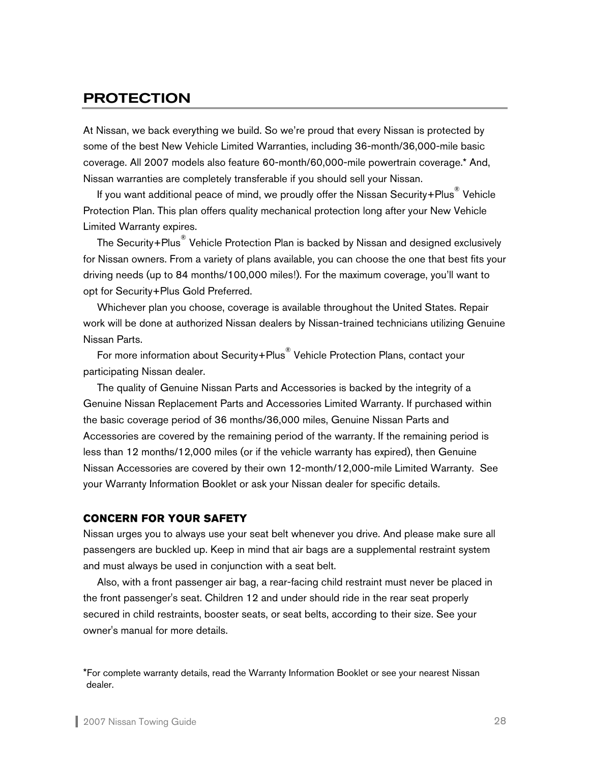# <span id="page-28-0"></span>PROTECTION

At Nissan, we back everything we build. So we're proud that every Nissan is protected by some of the best New Vehicle Limited Warranties, including 36-month/36,000-mile basic coverage. All 2007 models also feature 60-month/60,000-mile powertrain coverage.\* And, Nissan warranties are completely transferable if you should sell your Nissan.

If you want additional peace of mind, we proudly offer the Nissan Security+Plus $^\circledR$  Vehicle Protection Plan. This plan offers quality mechanical protection long after your New Vehicle Limited Warranty expires.

The Security+Plus $^\circ$  Vehicle Protection Plan is backed by Nissan and designed exclusively for Nissan owners. From a variety of plans available, you can choose the one that best fits your driving needs (up to 84 months/100,000 miles!). For the maximum coverage, you'll want to opt for Security+Plus Gold Preferred.

Whichever plan you choose, coverage is available throughout the United States. Repair work will be done at authorized Nissan dealers by Nissan-trained technicians utilizing Genuine Nissan Parts.

For more information about Security+Plus<sup>®</sup> Vehicle Protection Plans, contact your participating Nissan dealer.

The quality of Genuine Nissan Parts and Accessories is backed by the integrity of a Genuine Nissan Replacement Parts and Accessories Limited Warranty. If purchased within the basic coverage period of 36 months/36,000 miles, Genuine Nissan Parts and Accessories are covered by the remaining period of the warranty. If the remaining period is less than 12 months/12,000 miles (or if the vehicle warranty has expired), then Genuine Nissan Accessories are covered by their own 12-month/12,000-mile Limited Warranty. See your Warranty Information Booklet or ask your Nissan dealer for specific details.

#### **CONCERN FOR YOUR SAFETY**

Nissan urges you to always use your seat belt whenever you drive. And please make sure all passengers are buckled up. Keep in mind that air bags are a supplemental restraint system and must always be used in conjunction with a seat belt.

 Also, with a front passenger air bag, a rear-facing child restraint must never be placed in the front passenger's seat. Children 12 and under should ride in the rear seat properly secured in child restraints, booster seats, or seat belts, according to their size. See your owner's manual for more details.

<sup>\*</sup>For complete warranty details, read the Warranty Information Booklet or see your nearest Nissan dealer.